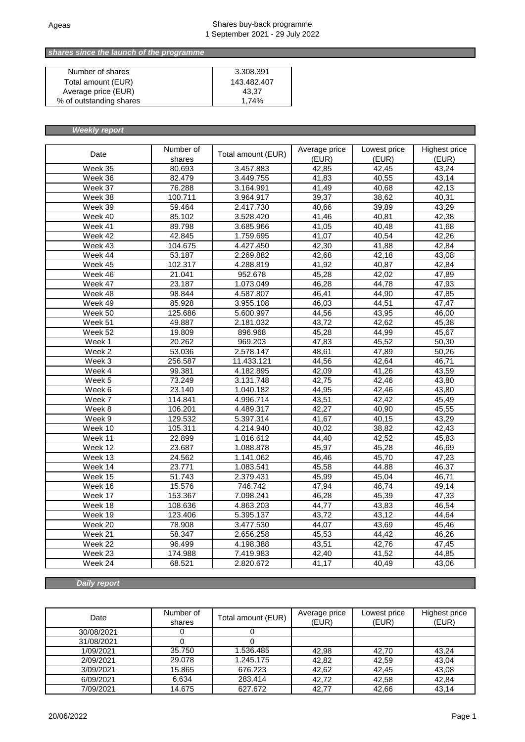### *Total buy-back shares since the launch of the programme*

| Number of shares        | 3.308.391   |
|-------------------------|-------------|
| Total amount (EUR)      | 143.482.407 |
| Average price (EUR)     | 43.37       |
| % of outstanding shares | 1.74%       |

*Weekly report*

| Date                         | Number of<br>shares | Total amount (EUR) | Average price<br>(EUR) | Lowest price<br>(EUR) | <b>Highest price</b><br>(EUR) |
|------------------------------|---------------------|--------------------|------------------------|-----------------------|-------------------------------|
| Week 35                      | 80.693              | 3.457.883          | 42,85                  | 42,45                 | 43,24                         |
| Week 36                      | 82.479              | 3.449.755          | 41,83                  | 40,55                 | 43,14                         |
| $\overline{\text{W}}$ eek 37 | 76.288              | 3.164.991          | 41,49                  | 40,68                 | 42,13                         |
| Week 38                      | 100.711             | 3.964.917          | 39,37                  | 38,62                 | 40,31                         |
| Week 39                      | 59.464              | 2.417.730          | 40,66                  | 39,89                 | 43,29                         |
| Week 40                      | 85.102              | 3.528.420          | 41,46                  | 40,81                 | 42,38                         |
| Week 41                      | 89.798              | 3.685.966          | 41,05                  | 40,48                 | 41,68                         |
| Week 42                      | 42.845              | 1.759.695          | 41,07                  | 40,54                 | 42,26                         |
| Week 43                      | 104.675             | 4.427.450          | 42,30                  | 41,88                 | 42,84                         |
| Week 44                      | 53.187              | 2.269.882          | 42,68                  | 42,18                 | 43,08                         |
| Week 45                      | 102.317             | 4.288.819          | 41,92                  | 40,87                 | 42,84                         |
| Week 46                      | 21.041              | 952.678            | 45,28                  | 42,02                 | 47,89                         |
| Week 47                      | 23.187              | 1.073.049          | 46,28                  | 44,78                 | 47,93                         |
| Week 48                      | 98.844              | 4.587.807          | 46,41                  | 44,90                 | 47,85                         |
| Week 49                      | 85.928              | 3.955.108          | 46,03                  | 44,51                 | 47,47                         |
| Week 50                      | 125.686             | 5.600.997          | 44,56                  | 43,95                 | 46,00                         |
| Week 51                      | 49.887              | 2.181.032          | 43,72                  | 42,62                 | 45,38                         |
| Week 52                      | 19.809              | 896.968            | 45,28                  | 44,99                 | 45,67                         |
| Week 1                       | 20.262              | 969.203            | 47,83                  | 45,52                 | 50,30                         |
| Week 2                       | 53.036              | 2.578.147          | 48,61                  | 47,89                 | 50,26                         |
| Week 3                       | 256.587             | 11.433.121         | 44,56                  | 42,64                 | 46,71                         |
| Week 4                       | 99.381              | 4.182.895          | 42,09                  | 41,26                 | 43,59                         |
| Week 5                       | 73.249              | 3.131.748          | 42,75                  | 42,46                 | 43,80                         |
| Week 6                       | 23.140              | 1.040.182          | 44,95                  | 42,46                 | 43,80                         |
| Week 7                       | 114.841             | 4.996.714          | 43,51                  | 42,42                 | 45,49                         |
| $\overline{\text{W}}$ eek 8  | 106.201             | 4.489.317          | 42,27                  | 40,90                 | 45,55                         |
| Week 9                       | 129.532             | 5.397.314          | 41,67                  | 40,15                 | 43,29                         |
| Week 10                      | 105.311             | 4.214.940          | 40,02                  | 38,82                 | 42.43                         |
| Week 11                      | 22.899              | 1.016.612          | 44,40                  | 42,52                 | 45,83                         |
| Week 12                      | 23.687              | 1.088.878          | 45,97                  | 45,28                 | 46,69                         |
| Week 13                      | 24.562              | 1.141.062          | 46,46                  | 45,70                 | 47,23                         |
| Week 14                      | 23.771              | 1.083.541          | 45,58                  | 44.88                 | 46.37                         |
| Week 15                      | 51.743              | 2.379.431          | 45,99                  | 45,04                 | 46,71                         |
| Week 16                      | 15.576              | 746.742            | 47,94                  | 46,74                 | 49,14                         |
| $\overline{\text{Week}}$ 17  | 153.367             | 7.098.241          | 46,28                  | 45,39                 | 47,33                         |
| Week 18                      | 108.636             | 4.863.203          | 44,77                  | 43,83                 | 46,54                         |
| Week 19                      | 123.406             | 5.395.137          | 43,72                  | 43,12                 | 44,64                         |
| Week 20                      | 78.908              | 3.477.530          | 44,07                  | 43,69                 | 45,46                         |
| Week 21                      | 58.347              | 2.656.258          | 45,53                  | 44,42                 | 46,26                         |
| Week 22                      | 96.499              | 4.198.388          | 43,51                  | 42,76                 | 47,45                         |
| Week 23                      | 174.988             | 7.419.983          | 42,40                  | 41,52                 | 44,85                         |
| Week 24                      | 68.521              | 2.820.672          | 41,17                  | 40,49                 | 43,06                         |

*Daily report*

| Date       | Number of<br>shares | Total amount (EUR) | Average price<br>(EUR) | Lowest price<br>(EUR) | Highest price<br>(EUR) |
|------------|---------------------|--------------------|------------------------|-----------------------|------------------------|
| 30/08/2021 |                     |                    |                        |                       |                        |
| 31/08/2021 |                     |                    |                        |                       |                        |
| 1/09/2021  | 35.750              | 1.536.485          | 42,98                  | 42,70                 | 43,24                  |
| 2/09/2021  | 29.078              | 1.245.175          | 42,82                  | 42,59                 | 43,04                  |
| 3/09/2021  | 15.865              | 676.223            | 42,62                  | 42,45                 | 43,08                  |
| 6/09/2021  | 6.634               | 283.414            | 42,72                  | 42,58                 | 42,84                  |
| 7/09/2021  | 14.675              | 627.672            | 42,77                  | 42.66                 | 43,14                  |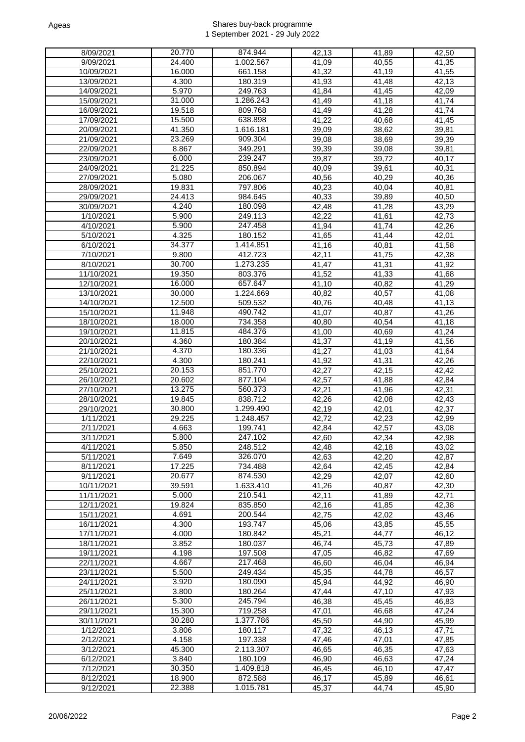| 8/09/2021             | 20.770 | 874.944   | 42,13              | 41,89              | 42,50              |
|-----------------------|--------|-----------|--------------------|--------------------|--------------------|
| 9/09/2021             | 24.400 | 1.002.567 | 41,09              | 40,55              | 41,35              |
|                       |        |           |                    |                    |                    |
| 10/09/2021            | 16.000 | 661.158   | 41,32              | 41,19              | 41,55              |
| 13/09/2021            | 4.300  | 180.319   | 41,93              | 41,48              | 42,13              |
| 14/09/2021            | 5.970  | 249.763   | 41,84              | 41,45              | 42,09              |
| 15/09/2021            | 31.000 | 1.286.243 | 41,49              | 41,18              | 41,74              |
| 16/09/2021            | 19.518 | 809.768   | 41,49              | 41.28              | 41,74              |
| 17/09/2021            | 15.500 | 638.898   | 41,22              | 40,68              | 41,45              |
| 20/09/2021            | 41.350 | 1.616.181 | 39,09              | 38,62              | 39,81              |
| 21/09/2021            | 23.269 | 909.304   | 39,08              | 38,69              | 39,39              |
| 22/09/2021            | 8.867  | 349.291   | 39,39              |                    | 39,81              |
|                       |        |           |                    | 39,08              |                    |
| 23/09/2021            | 6.000  | 239.247   | 39,87              | 39,72              | 40,17              |
| 24/09/2021            | 21.225 | 850.894   | 40,09              | 39,61              | 40,31              |
| 27/09/2021            | 5.080  | 206.067   | 40,56              | 40,29              | 40,36              |
| 28/09/2021            | 19.831 | 797.806   | 40,23              | 40,04              | 40,81              |
| 29/09/2021            | 24.413 | 984.645   | 40,33              | 39,89              | 40,50              |
| 30/09/2021            | 4.240  | 180.098   | 42,48              | 41,28              | 43,29              |
| 1/10/2021             | 5.900  | 249.113   | 42,22              | 41,61              | 42,73              |
| 4/10/2021             | 5.900  | 247.458   | 41,94              | 41,74              | 42,26              |
|                       |        |           |                    |                    |                    |
| 5/10/2021             | 4.325  | 180.152   | 41,65              | 41,44              | 42,01              |
| 6/10/2021             | 34.377 | 1.414.851 | 41,16              | 40.81              | 41,58              |
| 7/10/2021             | 9.800  | 412.723   | 42,11              | 41,75              | 42,38              |
| 8/10/2021             | 30.700 | 1.273.235 | 41,47              | 41,31              | 41.92              |
| 11/10/2021            | 19.350 | 803.376   | 41,52              | 41,33              | 41,68              |
| 12/10/2021            | 16.000 | 657.647   | 41,10              | 40,82              | 41.29              |
| 13/10/2021            | 30.000 | 1.224.669 | 40,82              | 40,57              | 41,08              |
| 14/10/2021            | 12.500 | 509.532   | 40,76              | 40,48              | 41,13              |
| 15/10/2021            | 11.948 | 490.742   | $\overline{4}1,07$ | 40,87              | 41,26              |
| 18/10/2021            | 18.000 | 734.358   |                    |                    | 41,18              |
|                       |        |           | 40,80              | 40,54              |                    |
| 19/10/2021            | 11.815 | 484.376   | 41,00              | 40,69              | 41,24              |
| 20/10/2021            | 4.360  | 180.384   | 41,37              | 41,19              | 41,56              |
| 21/10/2021            | 4.370  | 180.336   | 41,27              | 41,03              | 41,64              |
| 22/10/2021            | 4.300  | 180.241   | 41,92              | 41,31              | 42,26              |
| 25/10/2021            | 20.153 | 851.770   | 42,27              | 42,15              | 42,42              |
| 26/10/2021            | 20.602 | 877.104   | 42,57              | 41,88              | 42,84              |
| 27/10/2021            | 13.275 | 560.373   | 42,21              | 41,96              | 42,31              |
| 28/10/2021            | 19.845 | 838.712   | 42,26              | 42,08              | 42,43              |
| 29/10/2021            | 30.800 | 1.299.490 | 42,19              | 42,01              | 42,37              |
|                       |        |           |                    |                    |                    |
| 1/11/2021             | 29.225 | 1.248.457 | 42.72              | 42,23              | 42,99              |
| 2/11/2021             | 4.663  | 199.741   | 42,84              | 42,57              | 43,08              |
| 3/11/2021             | 5.800  | 247.102   | 42,60              | 42,34              | 42,98              |
| 4/11/2021             | 5.850  | 248.512   | 42,48              | 42,18              | 43,02              |
| 5/11/2021             | 7.649  | 326.070   | 42,63              | 42,20              | 42,87              |
| 8/11/2021             | 17.225 | 734.488   | 42,64              | 42,45              | 42,84              |
| $\frac{1}{9}$ 11/2021 | 20.677 | 874.530   | 42,29              | $\overline{42,07}$ | $\overline{42,60}$ |
| 10/11/2021            | 39.591 | 1.633.410 | 41,26              | 40,87              | 42,30              |
| 11/11/2021            | 5.000  | 210.541   | 42,11              | 41,89              | 42,71              |
| 12/11/2021            | 19.824 | 835.850   | 42,16              | 41,85              | 42,38              |
| 15/11/2021            | 4.691  | 200.544   | 42,75              | 42,02              | 43,46              |
|                       | 4.300  |           |                    | 43,85              |                    |
| 16/11/2021            |        | 193.747   | 45,06              |                    | 45,55              |
| 17/11/2021            | 4.000  | 180.842   | 45,21              | 44,77              | 46,12              |
| 18/11/2021            | 3.852  | 180.037   | 46,74              | 45,73              | 47,89              |
| 19/11/2021            | 4.198  | 197.508   | 47,05              | 46,82              | 47,69              |
| 22/11/2021            | 4.667  | 217.468   | 46,60              | 46,04              | 46,94              |
| 23/11/2021            | 5.500  | 249.434   | 45,35              | 44,78              | 46,57              |
| 24/11/2021            | 3.920  | 180.090   | 45,94              | 44,92              | 46,90              |
| 25/11/2021            | 3.800  | 180.264   | 47,44              | 47,10              | 47,93              |
| 26/11/2021            | 5.300  | 245.794   | 46,38              | 45,45              | 46,83              |
| 29/11/2021            | 15.300 | 719.258   | 47,01              | 46,68              | 47,24              |
| 30/11/2021            | 30.280 | 1.377.786 | 45,50              | 44,90              | 45,99              |
| 1/12/2021             | 3.806  | 180.117   | 47,32              | 46,13              | 47,71              |
|                       |        |           |                    |                    |                    |
| 2/12/2021             | 4.158  | 197.338   | 47,46              | 47,01              | 47,85              |
| 3/12/2021             | 45.300 | 2.113.307 | 46,65              | 46,35              | 47,63              |
| 6/12/2021             | 3.840  | 180.109   | 46,90              | 46,63              | 47,24              |
| 7/12/2021             | 30.350 | 1.409.818 | 46,45              | 46,10              | 47,47              |
| 8/12/2021             | 18.900 | 872.588   | 46,17              | 45,89              | 46,61              |
| 9/12/2021             | 22.388 | 1.015.781 | 45,37              | 44,74              | 45,90              |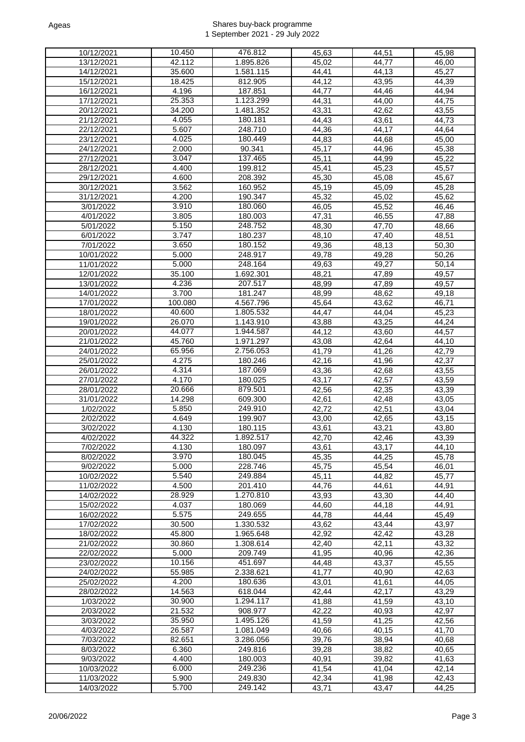| 10/12/2021             | 10.450  | 476.812   | 45,63              | 44,51              | 45,98 |
|------------------------|---------|-----------|--------------------|--------------------|-------|
| 13/12/2021             | 42.112  | 1.895.826 | 45,02              | 44,77              | 46,00 |
|                        |         |           |                    |                    |       |
| 14/12/2021             | 35.600  | 1.581.115 | 44,41              | 44,13              | 45,27 |
| 15/12/2021             | 18.425  | 812.905   | 44,12              | 43,95              | 44,39 |
| 16/12/2021             | 4.196   | 187.851   | 44,77              | 44,46              | 44,94 |
| 17/12/2021             | 25.353  | 1.123.299 | $\overline{4}4,31$ | 44,00              | 44,75 |
| 20/12/2021             | 34.200  | 1.481.352 | 43,31              | 42,62              | 43,55 |
| 21/12/2021             | 4.055   | 180.181   | 44,43              | 43,61              | 44,73 |
| 22/12/2021             | 5.607   | 248.710   | 44,36              | 44,17              | 44,64 |
| 23/12/2021             | 4.025   | 180.449   | 44,83              | 44,68              | 45,00 |
| 24/12/2021             |         | 90.341    | 45.17              |                    |       |
|                        | 2.000   |           |                    | 44,96              | 45,38 |
| 27/12/2021             | 3.047   | 137.465   | 45,11              | 44,99              | 45,22 |
| 28/12/2021             | 4.400   | 199.812   | 45,41              | 45,23              | 45,57 |
| 29/12/2021             | 4.600   | 208.392   | 45,30              | 45,08              | 45,67 |
| 30/12/2021             | 3.562   | 160.952   | 45,19              | 45,09              | 45,28 |
| 31/12/2021             | 4.200   | 190.347   | 45,32              | 45,02              | 45,62 |
| 3/01/2022              | 3.910   | 180.060   | 46,05              | 45,52              | 46,46 |
| 4/01/2022              | 3.805   | 180.003   | 47,31              | 46,55              | 47,88 |
| 5/01/2022              | 5.150   | 248.752   | 48,30              | $\frac{1}{47,70}$  | 48,66 |
| 6/01/2022              | 3.747   | 180.237   | 48,10              | 47,40              | 48,51 |
|                        |         |           |                    |                    |       |
| 7/01/2022              | 3.650   | 180.152   | 49,36              | 48,13              | 50,30 |
| 10/01/2022             | 5.000   | 248.917   | 49,78              | 49,28              | 50,26 |
| 11/01/2022             | 5.000   | 248.164   | 49,63              | 49,27              | 50,14 |
| 12/01/2022             | 35.100  | 1.692.301 | 48,21              | 47,89              | 49,57 |
| 13/01/2022             | 4.236   | 207.517   | 48,99              | 47,89              | 49,57 |
| 14/01/2022             | 3.700   | 181.247   | 48,99              | 48,62              | 49.18 |
| 17/01/2022             | 100.080 | 4.567.796 | 45,64              | 43,62              | 46,71 |
| 18/01/2022             | 40.600  | 1.805.532 | 44,47              | 44,04              | 45,23 |
| 19/01/2022             | 26.070  | 1.143.910 | 43,88              | 43,25              | 44,24 |
|                        | 44.077  | 1.944.587 |                    |                    |       |
| 20/01/2022             |         |           | 44,12              | 43,60              | 44,57 |
| 21/01/2022             | 45.760  | 1.971.297 | 43,08              | 42,64              | 44,10 |
| 24/01/2022             | 65.956  | 2.756.053 | 41,79              | 41,26              | 42,79 |
| 25/01/2022             | 4.275   | 180.246   | 42,16              | 41,96              | 42,37 |
| 26/01/2022             | 4.314   | 187.069   | 43,36              | 42,68              | 43,55 |
| 27/01/2022             | 4.170   | 180.025   | 43,17              | 42,57              | 43,59 |
| 28/01/2022             | 20.666  | 879.501   | 42,56              | 42,35              | 43,39 |
| 31/01/2022             | 14.298  | 609.300   | 42,61              | 42,48              | 43,05 |
| 1/02/2022              | 5.850   | 249.910   | 42,72              | 42,51              | 43,04 |
| $\overline{2/02/2022}$ | 4.649   | 199.907   | 43,00              | 42,65              | 43,15 |
| 3/02/2022              | 4.130   | 180.115   |                    | 43,21              | 43,80 |
|                        |         |           | 43,61              |                    |       |
| 4/02/2022              | 44.322  | 1.892.517 | 42,70              | 42,46              | 43,39 |
| 7/02/2022              | 4.130   | 180.097   | 43,61              | 43.17              | 44,10 |
| 8/02/2022              | 3.970   | 180.045   | 45,35              | 44,25              | 45,78 |
| 9/02/2022              | 5.000   | 228.746   | 45,75              | 45,54              | 46,01 |
| 10/02/2022             | 5.540   | 249.884   | 45,11              | 44,82              | 45,77 |
| 11/02/2022             | 4.500   | 201.410   | 44,76              | 44,61              | 44,91 |
| 14/02/2022             | 28.929  | 1.270.810 | 43,93              | 43,30              | 44,40 |
| 15/02/2022             | 4.037   | 180.069   | 44,60              | $\overline{4}4,18$ | 44,91 |
| 16/02/2022             | 5.575   | 249.655   | 44,78              | 44,44              | 45,49 |
| 17/02/2022             | 30.500  | 1.330.532 | 43,62              | 43,44              | 43,97 |
| 18/02/2022             | 45.800  | 1.965.648 | 42,92              | 42,42              | 43,28 |
|                        |         |           |                    |                    |       |
| 21/02/2022             | 30.860  | 1.308.614 | 42,40              | 42,11              | 43,32 |
| 22/02/2022             | 5.000   | 209.749   | 41,95              | 40,96              | 42,36 |
| 23/02/2022             | 10.156  | 451.697   | 44,48              | 43,37              | 45,55 |
| 24/02/2022             | 55.985  | 2.338.621 | 41,77              | 40,90              | 42,63 |
| 25/02/2022             | 4.200   | 180.636   | 43,01              | 41,61              | 44,05 |
| 28/02/2022             | 14.563  | 618.044   | 42,44              | 42,17              | 43,29 |
| 1/03/2022              | 30.900  | 1.294.117 | 41,88              | 41,59              | 43,10 |
| 2/03/2022              | 21.532  | 908.977   | 42,22              | 40,93              | 42,97 |
| 3/03/2022              | 35.950  | 1.495.126 | 41,59              | 41,25              | 42,56 |
| 4/03/2022              | 26.587  | 1.081.049 | 40,66              | 40,15              | 41,70 |
| 7/03/2022              | 82.651  | 3.286.056 | 39,76              | 38,94              | 40,68 |
|                        | 6.360   |           |                    |                    |       |
| 8/03/2022              |         | 249.816   | 39,28              | 38,82              | 40,65 |
| 9/03/2022              | 4.400   | 180.003   | 40,91              | 39,82              | 41,63 |
| 10/03/2022             | 6.000   | 249.236   | 41,54              | 41,04              | 42,14 |
| 11/03/2022             | 5.900   | 249.830   | 42,34              | 41,98              | 42,43 |
| 14/03/2022             | 5.700   | 249.142   | 43,71              | 43,47              | 44,25 |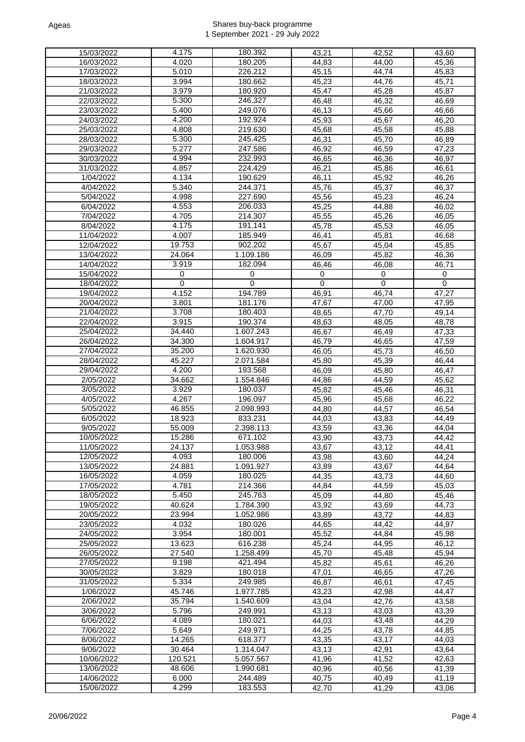| 15/03/2022          | 4.175       | 180.392   | 43,21    | 42,52 | 43,60       |
|---------------------|-------------|-----------|----------|-------|-------------|
|                     |             |           |          |       |             |
| 16/03/2022          | 4.020       | 180.205   | 44,83    | 44,00 | 45,36       |
| 17/03/2022          | 5.010       | 226.212   | 45,15    | 44.74 | 45,83       |
| 18/03/2022          | 3.994       | 180.662   | 45,23    | 44,76 | 45,71       |
| 21/03/2022          | 3.979       | 180.920   | 45,47    | 45,28 | 45,87       |
| 22/03/2022          | 5.300       | 246.327   | 46,48    | 46,32 | 46,69       |
| 23/03/2022          | 5.400       | 249.076   |          |       |             |
|                     |             |           | 46,13    | 45,66 | 46,66       |
| 24/03/2022          | 4.200       | 192.924   | 45,93    | 45,67 | 46,20       |
| 25/03/2022          | 4.808       | 219.630   | 45,68    | 45,58 | 45,88       |
| 28/03/2022          | 5.300       | 245.425   | 46,31    | 45.70 | 46,89       |
| 29/03/2022          | 5.277       | 247.586   | 46,92    | 46.59 | 47,23       |
| 30/03/2022          | 4.994       | 232.993   | 46,65    | 46,36 | 46,97       |
|                     |             |           |          |       |             |
| 31/03/2022          | 4.857       | 224.429   | 46,21    | 45,86 | 46,61       |
| $\frac{1}{04/2022}$ | 4.134       | 190.629   | 46,11    | 45,92 | 46,26       |
| 4/04/2022           | 5.340       | 244.371   | 45,76    | 45,37 | 46,37       |
| 5/04/2022           | 4.998       | 227.690   | 45,56    | 45,23 | 46,24       |
| 6/04/2022           | 4.553       | 206.033   | 45,25    | 44,88 | 46,02       |
| 7/04/2022           | 4.705       | 214.307   | 45,55    | 45,26 | 46,05       |
|                     |             |           |          |       |             |
| 8/04/2022           | 4.175       | 191.141   | 45,78    | 45,53 | 46,05       |
| 11/04/2022          | 4.007       | 185.949   | 46,41    | 45,81 | 46,68       |
| 12/04/2022          | 19.753      | 902.202   | 45,67    | 45,04 | 45,85       |
| 13/04/2022          | 24.064      | 1.109.186 | 46,09    | 45,82 | 46,36       |
| 14/04/2022          | 3.919       | 182.094   | 46,46    | 46,08 | 46,71       |
| 15/04/2022          | 0           | 0         | 0        | 0     | 0           |
| 18/04/2022          | $\mathbf 0$ | 0         | $\Omega$ | 0     | $\mathbf 0$ |
|                     |             |           |          |       |             |
| 19/04/2022          | 4.152       | 194.789   | 46,91    | 46,74 | 47,27       |
| 20/04/2022          | 3.801       | 181.176   | 47,67    | 47,00 | 47,95       |
| 21/04/2022          | 3.708       | 180.403   | 48,65    | 47,70 | 49,14       |
| 22/04/2022          | 3.915       | 190.374   | 48,63    | 48,05 | 48,78       |
| 25/04/2022          | 34.440      | 1.607.243 | 46,67    | 46,49 | 47,33       |
| 26/04/2022          | 34.300      | 1.604.917 | 46,79    | 46,65 | 47,59       |
| 27/04/2022          | 35.200      | 1.620.930 |          |       |             |
|                     |             |           | 46,05    | 45,73 | 46,50       |
| 28/04/2022          | 45.227      | 2.071.584 | 45,80    | 45,39 | 46,44       |
| 29/04/2022          | 4.200       | 193.568   | 46,09    | 45,80 | 46,47       |
| 2/05/2022           | 34.662      | 1.554.846 | 44,86    | 44,59 | 45,62       |
| 3/05/2022           | 3.929       | 180.037   | 45,82    | 45,46 | 46,31       |
| 4/05/2022           | 4.267       | 196.097   | 45,96    | 45,68 | 46,22       |
| 5/05/2022           | 46.855      | 2.098.993 | 44,80    | 44,57 | 46,54       |
| 6/05/2022           | 18.923      | 833.231   | 44,03    | 43,83 | 44,49       |
|                     | 55.009      |           |          |       |             |
| 9/05/2022           |             | 2.398.113 | 43,59    | 43,36 | 44,04       |
| 10/05/2022          | 15.286      | 671.102   | 43,90    | 43,73 | 44.42       |
| 11/05/2022          | 24.137      | 1.053.988 | 43,67    | 43,12 | 44,41       |
| 12/05/2022          | 4.093       | 180.006   | 43,98    | 43,60 | 44,24       |
| 13/05/2022          | 24.881      | 1.091.927 | 43,89    | 43,67 | 44,64       |
| 16/05/2022          | 4.059       | 180.025   | 44,35    | 43,73 | 44,60       |
| 17/05/2022          | 4.781       | 214.366   | 44,84    | 44,59 | 45,03       |
| 18/05/2022          | 5.450       | 245.763   |          |       |             |
|                     |             |           | 45,09    | 44,80 | 45,46       |
| 19/05/2022          | 40.624      | 1.784.390 | 43,92    | 43,69 | 44,73       |
| 20/05/2022          | 23.994      | 1.052.986 | 43,89    | 43,72 | 44,83       |
| 23/05/2022          | 4.032       | 180.026   | 44,65    | 44,42 | 44,97       |
| 24/05/2022          | 3.954       | 180.001   | 45,52    | 44,84 | 45,98       |
| 25/05/2022          | 13.623      | 616.238   | 45,24    | 44,95 | 46,12       |
| 26/05/2022          | 27.540      | 1.258.499 | 45,70    | 45,48 | 45,94       |
| 27/05/2022          | 9.198       | 421.494   | 45,82    | 45,61 | 46,26       |
| 30/05/2022          | 3.829       | 180.018   | 47,01    | 46,65 | 47,26       |
|                     |             |           |          |       |             |
| 31/05/2022          | 5.334       | 249.985   | 46,87    | 46,61 | 47,45       |
| 1/06/2022           | 45.746      | 1.977.785 | 43,23    | 42,98 | 44,47       |
| 2/06/2022           | 35.794      | 1.540.609 | 43,04    | 42,76 | 43,58       |
| 3/06/2022           | 5.796       | 249.991   | 43,13    | 43,03 | 43,39       |
| 6/06/2022           | 4.089       | 180.021   | 44,03    | 43,48 | 44,29       |
| 7/06/2022           | 5.649       | 249.971   | 44,25    | 43,78 | 44,85       |
| 8/06/2022           | 14.265      | 618.377   | 43,35    | 43,17 | 44,03       |
|                     |             |           |          |       |             |
| 9/06/2022           | 30.464      | 1.314.047 | 43,13    | 42,91 | 43,64       |
| 10/06/2022          | 120.521     | 5.057.567 | 41,96    | 41,52 | 42,63       |
| 13/06/2022          | 48.606      | 1.990.681 | 40,96    | 40,56 | 41,39       |
| 14/06/2022          | 6.000       | 244.489   | 40,75    | 40,49 | 41,19       |
| 15/06/2022          | 4.299       | 183.553   | 42,70    | 41,29 | 43,06       |